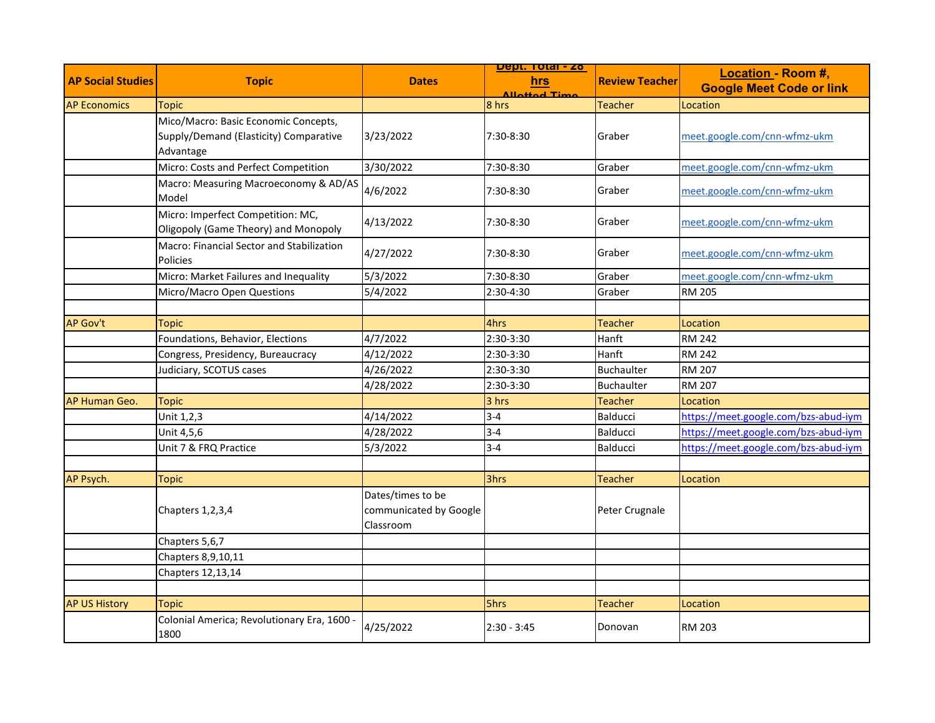|                          | <b>Topic</b>                                                                                |                                                          | <u> Dept. Total - 20</u>      | <b>Review Teacher</b> |                                                       |
|--------------------------|---------------------------------------------------------------------------------------------|----------------------------------------------------------|-------------------------------|-----------------------|-------------------------------------------------------|
| <b>AP Social Studies</b> |                                                                                             | <b>Dates</b>                                             | hrs                           |                       | Location - Room #,<br><b>Google Meet Code or link</b> |
| <b>AP Economics</b>      |                                                                                             |                                                          | <b>Allottod Time</b><br>8 hrs | <b>Teacher</b>        |                                                       |
|                          | <b>Topic</b>                                                                                |                                                          |                               |                       | Location                                              |
|                          | Mico/Macro: Basic Economic Concepts,<br>Supply/Demand (Elasticity) Comparative<br>Advantage | 3/23/2022                                                | 7:30-8:30                     | Graber                | meet.google.com/cnn-wfmz-ukm                          |
|                          | Micro: Costs and Perfect Competition                                                        | 3/30/2022                                                | 7:30-8:30                     | Graber                | meet.google.com/cnn-wfmz-ukm                          |
|                          | Macro: Measuring Macroeconomy & AD/AS<br>Model                                              | 4/6/2022                                                 | 7:30-8:30                     | Graber                | meet.google.com/cnn-wfmz-ukm                          |
|                          | Micro: Imperfect Competition: MC,<br>Oligopoly (Game Theory) and Monopoly                   | 4/13/2022                                                | 7:30-8:30                     | Graber                | meet.google.com/cnn-wfmz-ukm                          |
|                          | Macro: Financial Sector and Stabilization<br><b>Policies</b>                                | 4/27/2022                                                | 7:30-8:30                     | Graber                | meet.google.com/cnn-wfmz-ukm                          |
|                          | Micro: Market Failures and Inequality                                                       | 5/3/2022                                                 | 7:30-8:30                     | Graber                | meet.google.com/cnn-wfmz-ukm                          |
|                          | Micro/Macro Open Questions                                                                  | 5/4/2022                                                 | 2:30-4:30                     | Graber                | <b>RM 205</b>                                         |
|                          |                                                                                             |                                                          |                               |                       |                                                       |
| <b>AP Gov't</b>          | <b>Topic</b>                                                                                |                                                          | 4hrs                          | <b>Teacher</b>        | Location                                              |
|                          | Foundations, Behavior, Elections                                                            | 4/7/2022                                                 | 2:30-3:30                     | Hanft                 | <b>RM 242</b>                                         |
|                          | Congress, Presidency, Bureaucracy                                                           | 4/12/2022                                                | 2:30-3:30                     | Hanft                 | <b>RM 242</b>                                         |
|                          | Judiciary, SCOTUS cases                                                                     | 4/26/2022                                                | 2:30-3:30                     | <b>Buchaulter</b>     | <b>RM 207</b>                                         |
|                          |                                                                                             | 4/28/2022                                                | 2:30-3:30                     | <b>Buchaulter</b>     | <b>RM 207</b>                                         |
| AP Human Geo.            | <b>Topic</b>                                                                                |                                                          | 3 hrs                         | <b>Teacher</b>        | Location                                              |
|                          | Unit 1,2,3                                                                                  | 4/14/2022                                                | $3 - 4$                       | <b>Balducci</b>       | https://meet.google.com/bzs-abud-iym                  |
|                          | Unit 4,5,6                                                                                  | 4/28/2022                                                | $3 - 4$                       | <b>Balducci</b>       | https://meet.google.com/bzs-abud-iym                  |
|                          | Unit 7 & FRQ Practice                                                                       | 5/3/2022                                                 | $3 - 4$                       | <b>Balducci</b>       | https://meet.google.com/bzs-abud-iym                  |
|                          |                                                                                             |                                                          |                               |                       |                                                       |
| AP Psych.                | <b>Topic</b>                                                                                |                                                          | 3hrs                          | <b>Teacher</b>        | Location                                              |
|                          | Chapters 1,2,3,4                                                                            | Dates/times to be<br>communicated by Google<br>Classroom |                               | Peter Crugnale        |                                                       |
|                          | Chapters 5,6,7                                                                              |                                                          |                               |                       |                                                       |
|                          | Chapters 8,9,10,11                                                                          |                                                          |                               |                       |                                                       |
|                          | Chapters 12,13,14                                                                           |                                                          |                               |                       |                                                       |
|                          |                                                                                             |                                                          |                               |                       |                                                       |
| <b>AP US History</b>     | <b>Topic</b>                                                                                |                                                          | 5hrs                          | <b>Teacher</b>        | Location                                              |
|                          | Colonial America; Revolutionary Era, 1600 -<br>1800                                         | 4/25/2022                                                | $2:30 - 3:45$                 | Donovan               | <b>RM 203</b>                                         |